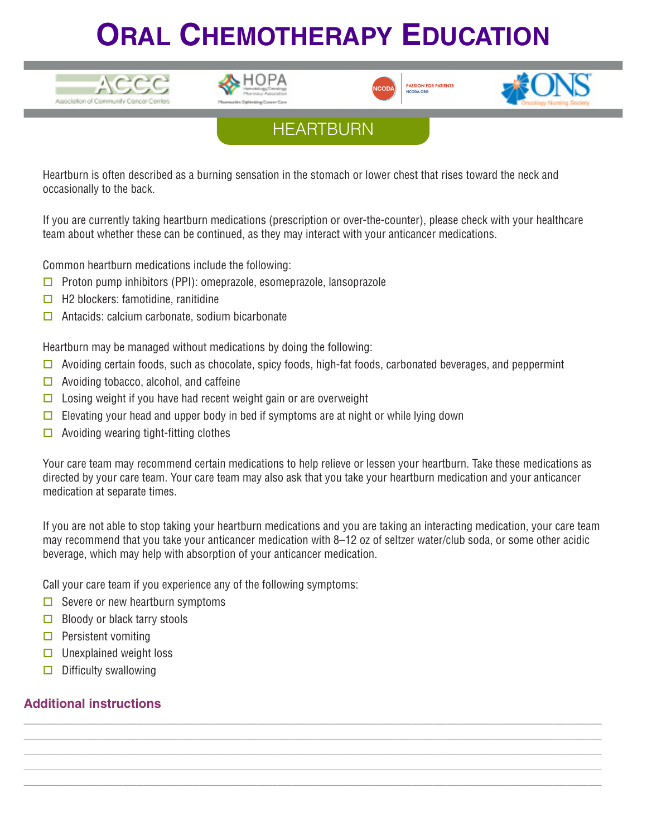## **ORAL CHEMOTHERAPY EDUCATION**











Heartburn is often described as a burning sensation in the stomach or lower chest that rises toward the neck and occasionally to the back.

If you are currently taking heartburn medications (prescription or over-the-counter), please check with your healthcare team about whether these can be continued, as they may interact with your anticancer medications.

Common heartburn medications include the following:

- $\Box$  Proton pump inhibitors (PPI): omeprazole, esomeprazole, lansoprazole
- $\Box$  H2 blockers: famotidine, ranitidine
- $\Box$  Antacids: calcium carbonate, sodium bicarbonate

Heartburn may be managed without medications by doing the following:

- $\Box$  Avoiding certain foods, such as chocolate, spicy foods, high-fat foods, carbonated beverages, and peppermint
- $\Box$  Avoiding tobacco, alcohol, and caffeine
- $\Box$  Losing weight if you have had recent weight gain or are overweight
- Elevating your head and upper body in bed if symptoms are at night or while lying down
- $\Box$  Avoiding wearing tight-fitting clothes

Your care team may recommend certain medications to help relieve or lessen your heartburn. Take these medications as directed by your care team. Your care team may also ask that you take your heartburn medication and your anticancer medication at separate times.

If you are not able to stop taking your heartburn medications and you are taking an interacting medication, your care team may recommend that you take your anticancer medication with 8–12 oz of seltzer water/club soda, or some other acidic beverage, which may help with absorption of your anticancer medication.

**\_\_\_\_\_\_\_\_\_\_\_\_\_\_\_\_\_\_\_\_\_\_\_\_\_\_\_\_\_\_\_\_\_\_\_\_\_\_\_\_\_\_\_\_\_\_\_\_\_\_\_\_\_\_\_\_\_\_\_\_\_\_\_\_\_\_\_\_\_\_\_\_\_\_\_\_\_\_\_\_\_\_ \_\_\_\_\_\_\_\_\_\_\_\_\_\_\_\_\_\_\_\_\_\_\_\_\_\_\_\_\_\_\_\_\_\_\_\_\_\_\_\_\_\_\_\_\_\_\_\_\_\_\_\_\_\_\_\_\_\_\_\_\_\_\_\_\_\_\_\_\_\_\_\_\_\_\_\_\_\_\_\_\_\_ \_\_\_\_\_\_\_\_\_\_\_\_\_\_\_\_\_\_\_\_\_\_\_\_\_\_\_\_\_\_\_\_\_\_\_\_\_\_\_\_\_\_\_\_\_\_\_\_\_\_\_\_\_\_\_\_\_\_\_\_\_\_\_\_\_\_\_\_\_\_\_\_\_\_\_\_\_\_\_\_\_\_ \_\_\_\_\_\_\_\_\_\_\_\_\_\_\_\_\_\_\_\_\_\_\_\_\_\_\_\_\_\_\_\_\_\_\_\_\_\_\_\_\_\_\_\_\_\_\_\_\_\_\_\_\_\_\_\_\_\_\_\_\_\_\_\_\_\_\_\_\_\_\_\_\_\_\_\_\_\_\_\_\_\_ \_\_\_\_\_\_\_\_\_\_\_\_\_\_\_\_\_\_\_\_\_\_\_\_\_\_\_\_\_\_\_\_\_\_\_\_\_\_\_\_\_\_\_\_\_\_\_\_\_\_\_\_\_\_\_\_\_\_\_\_\_\_\_\_\_\_\_\_\_\_\_\_\_\_\_\_\_\_\_\_\_\_**

Call your care team if you experience any of the following symptoms:

- $\Box$  Severe or new heartburn symptoms
- $\Box$  Bloody or black tarry stools
- $\Box$  Persistent vomiting
- $\Box$  Unexplained weight loss
- $\Box$  Difficulty swallowing

## **Additional instructions**